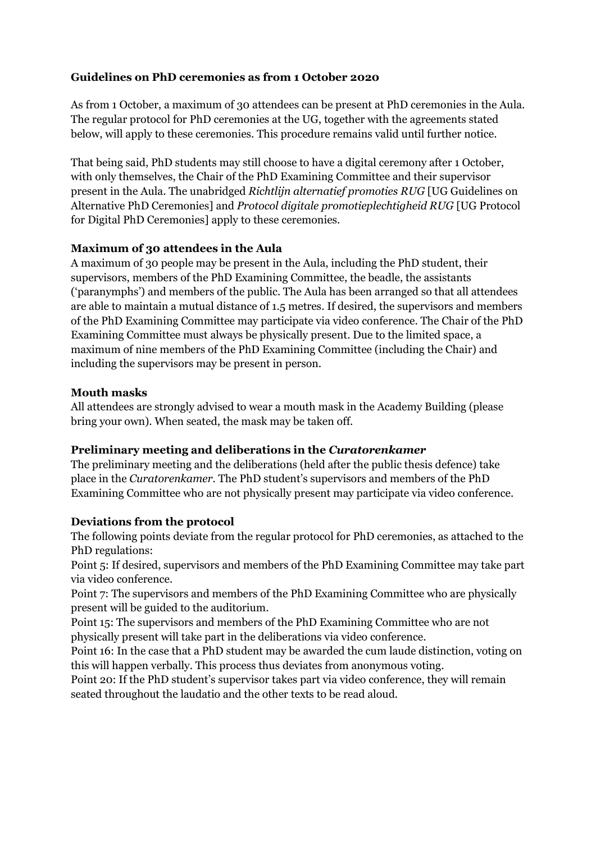## **Guidelines on PhD ceremonies as from 1 October 2020**

As from 1 October, a maximum of 30 attendees can be present at PhD ceremonies in the Aula. The regular protocol for PhD ceremonies at the UG, together with the agreements stated below, will apply to these ceremonies. This procedure remains valid until further notice.

That being said, PhD students may still choose to have a digital ceremony after 1 October, with only themselves, the Chair of the PhD Examining Committee and their supervisor present in the Aula. The unabridged *Richtlijn alternatief promoties RUG* [UG Guidelines on Alternative PhD Ceremonies] and *Protocol digitale promotieplechtigheid RUG* [UG Protocol for Digital PhD Ceremonies] apply to these ceremonies.

## **Maximum of 30 attendees in the Aula**

A maximum of 30 people may be present in the Aula, including the PhD student, their supervisors, members of the PhD Examining Committee, the beadle, the assistants ('paranymphs') and members of the public. The Aula has been arranged so that all attendees are able to maintain a mutual distance of 1.5 metres. If desired, the supervisors and members of the PhD Examining Committee may participate via video conference. The Chair of the PhD Examining Committee must always be physically present. Due to the limited space, a maximum of nine members of the PhD Examining Committee (including the Chair) and including the supervisors may be present in person.

## **Mouth masks**

All attendees are strongly advised to wear a mouth mask in the Academy Building (please bring your own). When seated, the mask may be taken off.

# **Preliminary meeting and deliberations in the** *Curatorenkamer*

The preliminary meeting and the deliberations (held after the public thesis defence) take place in the *Curatorenkamer*. The PhD student's supervisors and members of the PhD Examining Committee who are not physically present may participate via video conference.

#### **Deviations from the protocol**

The following points deviate from the regular protocol for PhD ceremonies, as attached to the PhD regulations:

Point 5: If desired, supervisors and members of the PhD Examining Committee may take part via video conference.

Point 7: The supervisors and members of the PhD Examining Committee who are physically present will be guided to the auditorium.

Point 15: The supervisors and members of the PhD Examining Committee who are not physically present will take part in the deliberations via video conference.

Point 16: In the case that a PhD student may be awarded the cum laude distinction, voting on this will happen verbally. This process thus deviates from anonymous voting.

Point 20: If the PhD student's supervisor takes part via video conference, they will remain seated throughout the laudatio and the other texts to be read aloud.